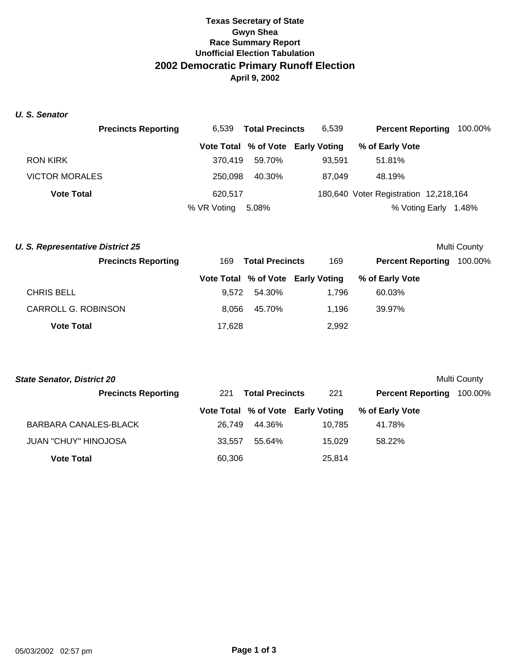## **Texas Secretary of State Gwyn Shea Race Summary Report Unofficial Election Tabulation 2002 Democratic Primary Runoff Election April 9, 2002**

*U. S. Senator*

|                       | <b>Precincts Reporting</b> | 6.539       | <b>Total Precincts</b> | 6.539                             |                                       | <b>Percent Reporting 100.00%</b> |
|-----------------------|----------------------------|-------------|------------------------|-----------------------------------|---------------------------------------|----------------------------------|
|                       |                            |             |                        | Vote Total % of Vote Early Voting | % of Early Vote                       |                                  |
| <b>RON KIRK</b>       |                            | 370.419     | 59.70%                 | 93.591                            | 51.81%                                |                                  |
| <b>VICTOR MORALES</b> |                            | 250,098     | 40.30%                 | 87.049                            | 48.19%                                |                                  |
| <b>Vote Total</b>     |                            | 620,517     |                        |                                   | 180,640 Voter Registration 12,218,164 |                                  |
|                       |                            | % VR Voting | 5.08%                  |                                   | % Voting Early                        | 1.48%                            |

|                               |        |                          |                                   | <b>Multi County</b> |  |
|-------------------------------|--------|--------------------------|-----------------------------------|---------------------|--|
| 169<br><b>Total Precincts</b> |        | 169                      | <b>Percent Reporting</b>          | 100.00%             |  |
|                               |        |                          | % of Early Vote                   |                     |  |
|                               | 54.30% | 1.796                    | 60.03%                            |                     |  |
|                               | 45.70% | 1.196                    | 39.97%                            |                     |  |
|                               |        | 2,992                    |                                   |                     |  |
|                               |        | 9.572<br>8.056<br>17,628 | Vote Total % of Vote Early Voting |                     |  |

| <b>State Senator, District 20</b><br>Multi County |        |                        |                                   |                          |         |  |  |
|---------------------------------------------------|--------|------------------------|-----------------------------------|--------------------------|---------|--|--|
| <b>Precincts Reporting</b>                        | 221    | <b>Total Precincts</b> |                                   | <b>Percent Reporting</b> | 100.00% |  |  |
|                                                   |        |                        | Vote Total % of Vote Early Voting | % of Early Vote          |         |  |  |
| BARBARA CANALES-BLACK                             | 26.749 | 44.36%                 | 10.785                            | 41.78%                   |         |  |  |
| <b>JUAN "CHUY" HINOJOSA</b>                       | 33.557 | 55.64%                 | 15.029                            | 58.22%                   |         |  |  |
| <b>Vote Total</b>                                 | 60,306 |                        | 25.814                            |                          |         |  |  |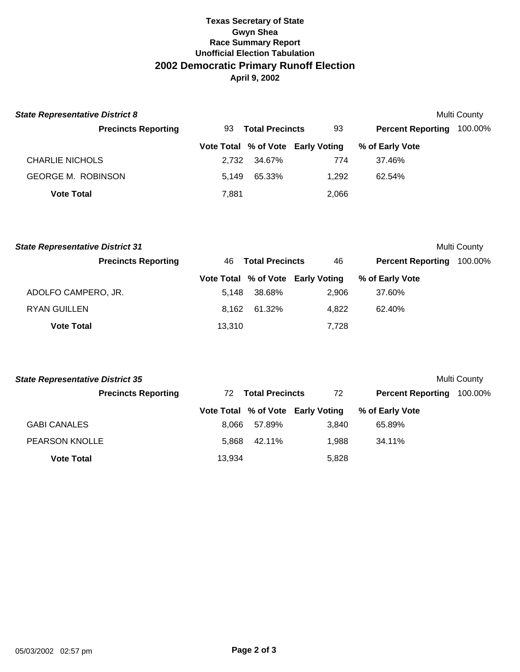## **Texas Secretary of State Gwyn Shea Race Summary Report Unofficial Election Tabulation 2002 Democratic Primary Runoff Election April 9, 2002**

| <b>State Representative District 8</b><br><b>Multi County</b> |       |                        |                                   |                          |         |  |  |  |
|---------------------------------------------------------------|-------|------------------------|-----------------------------------|--------------------------|---------|--|--|--|
| <b>Precincts Reporting</b>                                    | 93.   | <b>Total Precincts</b> | 93                                | <b>Percent Reporting</b> | 100.00% |  |  |  |
|                                                               |       |                        | Vote Total % of Vote Early Voting | % of Early Vote          |         |  |  |  |
| <b>CHARLIE NICHOLS</b>                                        | 2.732 | 34.67%                 | 774                               | 37.46%                   |         |  |  |  |
| <b>GEORGE M. ROBINSON</b>                                     | 5.149 | 65.33%                 | 1.292                             | 62.54%                   |         |  |  |  |
| <b>Vote Total</b>                                             | 7,881 |                        | 2,066                             |                          |         |  |  |  |

| Multi County<br><b>State Representative District 31</b> |        |                        |                                   |                          |         |  |
|---------------------------------------------------------|--------|------------------------|-----------------------------------|--------------------------|---------|--|
| <b>Precincts Reporting</b>                              | 46.    | <b>Total Precincts</b> |                                   | <b>Percent Reporting</b> | 100.00% |  |
|                                                         |        |                        | Vote Total % of Vote Early Voting | % of Early Vote          |         |  |
| ADOLFO CAMPERO, JR.                                     | 5.148  | 38.68%                 | 2.906                             | 37.60%                   |         |  |
| <b>RYAN GUILLEN</b>                                     | 8.162  | 61.32%                 | 4.822                             | 62.40%                   |         |  |
| <b>Vote Total</b>                                       | 13,310 |                        | 7.728                             |                          |         |  |

| <b>State Representative District 35</b><br>Multi County |        |                        |                                   |                          |         |  |  |
|---------------------------------------------------------|--------|------------------------|-----------------------------------|--------------------------|---------|--|--|
| <b>Precincts Reporting</b>                              | 72.    | <b>Total Precincts</b> |                                   | <b>Percent Reporting</b> | 100.00% |  |  |
|                                                         |        |                        | Vote Total % of Vote Early Voting | % of Early Vote          |         |  |  |
| <b>GABI CANALES</b>                                     | 8.066  | 57.89%                 | 3.840                             | 65.89%                   |         |  |  |
| <b>PEARSON KNOLLE</b>                                   | 5.868  | 42.11%                 | 1.988                             | 34.11%                   |         |  |  |
| <b>Vote Total</b>                                       | 13.934 |                        | 5,828                             |                          |         |  |  |